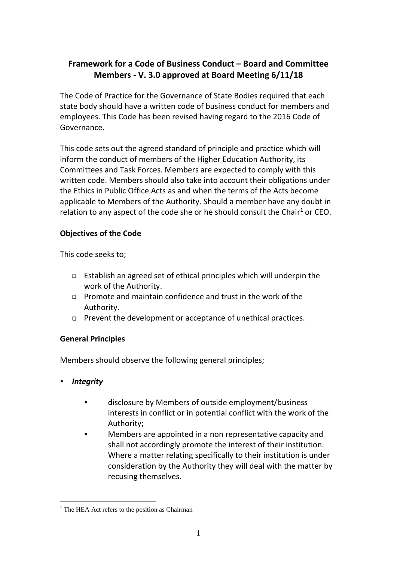# **Framework for a Code of Business Conduct – Board and Committee Members - V. 3.0 approved at Board Meeting 6/11/18**

The Code of Practice for the Governance of State Bodies required that each state body should have a written code of business conduct for members and employees. This Code has been revised having regard to the 2016 Code of Governance.

This code sets out the agreed standard of principle and practice which will inform the conduct of members of the Higher Education Authority, its Committees and Task Forces. Members are expected to comply with this written code. Members should also take into account their obligations under the Ethics in Public Office Acts as and when the terms of the Acts become applicable to Members of the Authority. Should a member have any doubt in relation to any aspect of the code she or he should consult the Chair<sup>1</sup> or CEO.

# **Objectives of the Code**

This code seeks to;

- Establish an agreed set of ethical principles which will underpin the work of the Authority.
- Promote and maintain confidence and trust in the work of the Authority.
- Prevent the development or acceptance of unethical practices.

# **General Principles**

Members should observe the following general principles;

*Integrity*

1

- disclosure by Members of outside employment/business interests in conflict or in potential conflict with the work of the Authority;
- Members are appointed in a non representative capacity and shall not accordingly promote the interest of their institution. Where a matter relating specifically to their institution is under consideration by the Authority they will deal with the matter by recusing themselves.

<sup>&</sup>lt;sup>1</sup> The HEA Act refers to the position as Chairman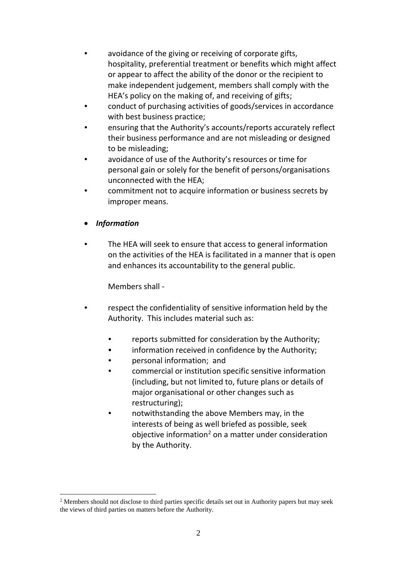- avoidance of the giving or receiving of corporate gifts, hospitality, preferential treatment or benefits which might affect or appear to affect the ability of the donor or the recipient to make independent judgement, members shall comply with the HEA's policy on the making of, and receiving of gifts;
- conduct of purchasing activities of goods/services in accordance with best business practice;
- ensuring that the Authority's accounts/reports accurately reflect their business performance and are not misleading or designed to be misleading;
- avoidance of use of the Authority's resources or time for personal gain or solely for the benefit of persons/organisations unconnected with the HEA;
- commitment not to acquire information or business secrets by improper means.
- *Information*

<u>.</u>

 The HEA will seek to ensure that access to general information on the activities of the HEA is facilitated in a manner that is open and enhances its accountability to the general public.

Members shall -

- respect the confidentiality of sensitive information held by the Authority. This includes material such as:
	- reports submitted for consideration by the Authority;
	- information received in confidence by the Authority;
	- personal information; and
	- commercial or institution specific sensitive information (including, but not limited to, future plans or details of major organisational or other changes such as restructuring);
	- notwithstanding the above Members may, in the interests of being as well briefed as possible, seek objective information<sup>2</sup> on a matter under consideration by the Authority.

<sup>2</sup> Members should not disclose to third parties specific details set out in Authority papers but may seek the views of third parties on matters before the Authority.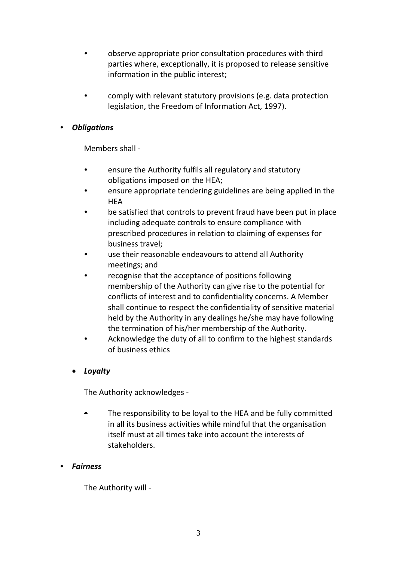- observe appropriate prior consultation procedures with third parties where, exceptionally, it is proposed to release sensitive information in the public interest;
- comply with relevant statutory provisions (e.g. data protection legislation, the Freedom of Information Act, 1997).

## *Obligations*

Members shall -

- ensure the Authority fulfils all regulatory and statutory obligations imposed on the HEA;
- ensure appropriate tendering guidelines are being applied in the **HFA**
- be satisfied that controls to prevent fraud have been put in place including adequate controls to ensure compliance with prescribed procedures in relation to claiming of expenses for business travel;
- use their reasonable endeavours to attend all Authority meetings; and
- recognise that the acceptance of positions following membership of the Authority can give rise to the potential for conflicts of interest and to confidentiality concerns. A Member shall continue to respect the confidentiality of sensitive material held by the Authority in any dealings he/she may have following the termination of his/her membership of the Authority.
- Acknowledge the duty of all to confirm to the highest standards of business ethics

# • *Loyalty*

The Authority acknowledges -

- The responsibility to be loyal to the HEA and be fully committed in all its business activities while mindful that the organisation itself must at all times take into account the interests of stakeholders.
- *Fairness*

The Authority will -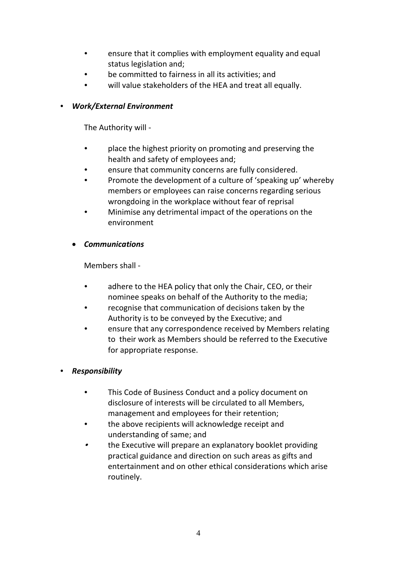- ensure that it complies with employment equality and equal status legislation and;
- be committed to fairness in all its activities; and
- will value stakeholders of the HEA and treat all equally.

### *Work/External Environment*

The Authority will -

- place the highest priority on promoting and preserving the health and safety of employees and;
- ensure that community concerns are fully considered.
- Promote the development of a culture of 'speaking up' whereby members or employees can raise concerns regarding serious wrongdoing in the workplace without fear of reprisal
- Minimise any detrimental impact of the operations on the environment

## • *Communications*

Members shall -

- adhere to the HEA policy that only the Chair, CEO, or their nominee speaks on behalf of the Authority to the media;
- recognise that communication of decisions taken by the Authority is to be conveyed by the Executive; and
- ensure that any correspondence received by Members relating to their work as Members should be referred to the Executive for appropriate response.

# *Responsibility*

- This Code of Business Conduct and a policy document on disclosure of interests will be circulated to all Members, management and employees for their retention;
- the above recipients will acknowledge receipt and understanding of same; and
- . the Executive will prepare an explanatory booklet providing practical guidance and direction on such areas as gifts and entertainment and on other ethical considerations which arise routinely.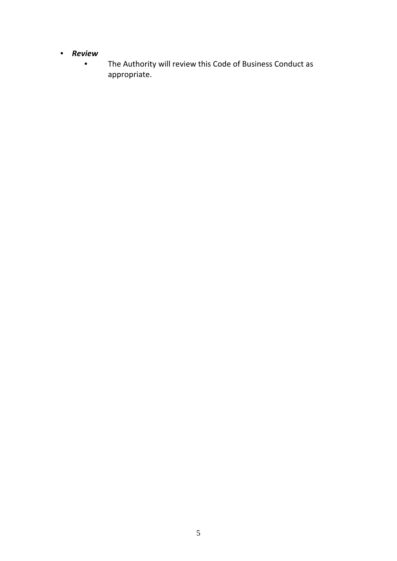- *Review*
	- The Authority will review this Code of Business Conduct as appropriate.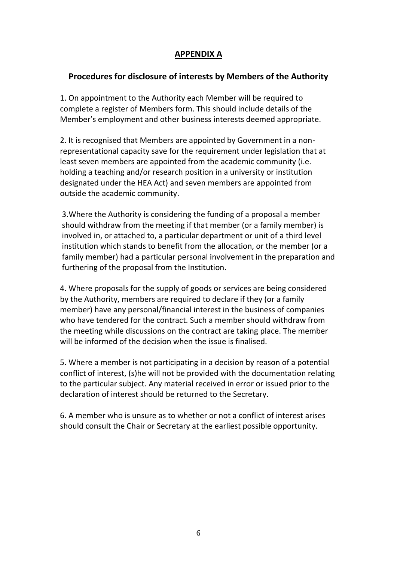# **APPENDIX A**

# **Procedures for disclosure of interests by Members of the Authority**

1. On appointment to the Authority each Member will be required to complete a register of Members form. This should include details of the Member's employment and other business interests deemed appropriate.

2. It is recognised that Members are appointed by Government in a nonrepresentational capacity save for the requirement under legislation that at least seven members are appointed from the academic community (i.e. holding a teaching and/or research position in a university or institution designated under the HEA Act) and seven members are appointed from outside the academic community.

3.Where the Authority is considering the funding of a proposal a member should withdraw from the meeting if that member (or a family member) is involved in, or attached to, a particular department or unit of a third level institution which stands to benefit from the allocation, or the member (or a family member) had a particular personal involvement in the preparation and furthering of the proposal from the Institution.

4. Where proposals for the supply of goods or services are being considered by the Authority, members are required to declare if they (or a family member) have any personal/financial interest in the business of companies who have tendered for the contract. Such a member should withdraw from the meeting while discussions on the contract are taking place. The member will be informed of the decision when the issue is finalised.

5. Where a member is not participating in a decision by reason of a potential conflict of interest, (s)he will not be provided with the documentation relating to the particular subject. Any material received in error or issued prior to the declaration of interest should be returned to the Secretary.

6. A member who is unsure as to whether or not a conflict of interest arises should consult the Chair or Secretary at the earliest possible opportunity.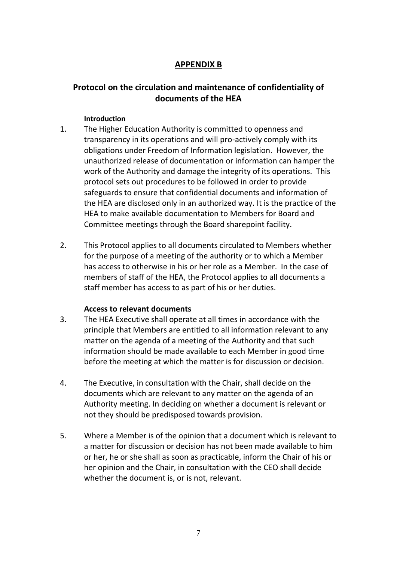# **APPENDIX B**

# **Protocol on the circulation and maintenance of confidentiality of documents of the HEA**

### **Introduction**

- 1. The Higher Education Authority is committed to openness and transparency in its operations and will pro-actively comply with its obligations under Freedom of Information legislation. However, the unauthorized release of documentation or information can hamper the work of the Authority and damage the integrity of its operations. This protocol sets out procedures to be followed in order to provide safeguards to ensure that confidential documents and information of the HEA are disclosed only in an authorized way. It is the practice of the HEA to make available documentation to Members for Board and Committee meetings through the Board sharepoint facility.
- 2. This Protocol applies to all documents circulated to Members whether for the purpose of a meeting of the authority or to which a Member has access to otherwise in his or her role as a Member. In the case of members of staff of the HEA, the Protocol applies to all documents a staff member has access to as part of his or her duties.

### **Access to relevant documents**

- 3. The HEA Executive shall operate at all times in accordance with the principle that Members are entitled to all information relevant to any matter on the agenda of a meeting of the Authority and that such information should be made available to each Member in good time before the meeting at which the matter is for discussion or decision.
- 4. The Executive, in consultation with the Chair, shall decide on the documents which are relevant to any matter on the agenda of an Authority meeting. In deciding on whether a document is relevant or not they should be predisposed towards provision.
- 5. Where a Member is of the opinion that a document which is relevant to a matter for discussion or decision has not been made available to him or her, he or she shall as soon as practicable, inform the Chair of his or her opinion and the Chair, in consultation with the CEO shall decide whether the document is, or is not, relevant.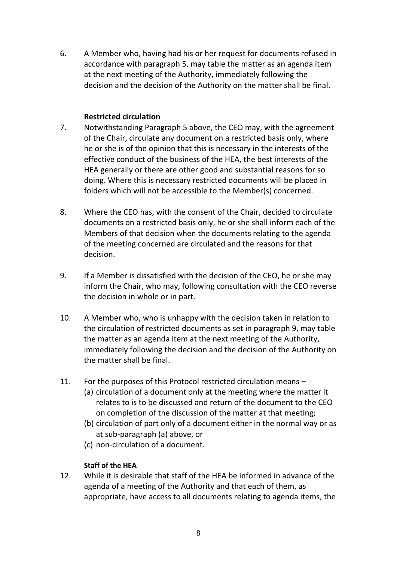6. A Member who, having had his or her request for documents refused in accordance with paragraph 5, may table the matter as an agenda item at the next meeting of the Authority, immediately following the decision and the decision of the Authority on the matter shall be final.

### **Restricted circulation**

- 7. Notwithstanding Paragraph 5 above, the CEO may, with the agreement of the Chair, circulate any document on a restricted basis only, where he or she is of the opinion that this is necessary in the interests of the effective conduct of the business of the HEA, the best interests of the HEA generally or there are other good and substantial reasons for so doing. Where this is necessary restricted documents will be placed in folders which will not be accessible to the Member(s) concerned.
- 8. Where the CEO has, with the consent of the Chair, decided to circulate documents on a restricted basis only, he or she shall inform each of the Members of that decision when the documents relating to the agenda of the meeting concerned are circulated and the reasons for that decision.
- 9. If a Member is dissatisfied with the decision of the CEO, he or she may inform the Chair, who may, following consultation with the CEO reverse the decision in whole or in part.
- 10. A Member who, who is unhappy with the decision taken in relation to the circulation of restricted documents as set in paragraph 9, may table the matter as an agenda item at the next meeting of the Authority, immediately following the decision and the decision of the Authority on the matter shall be final.
- 11. For the purposes of this Protocol restricted circulation means
	- (a) circulation of a document only at the meeting where the matter it relates to is to be discussed and return of the document to the CEO on completion of the discussion of the matter at that meeting;
	- (b) circulation of part only of a document either in the normal way or as at sub-paragraph (a) above, or
	- (c) non-circulation of a document.

# **Staff of the HEA**

12. While it is desirable that staff of the HEA be informed in advance of the agenda of a meeting of the Authority and that each of them, as appropriate, have access to all documents relating to agenda items, the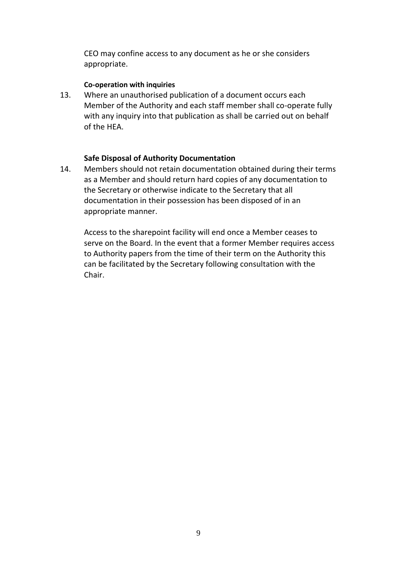CEO may confine access to any document as he or she considers appropriate.

#### **Co-operation with inquiries**

13. Where an unauthorised publication of a document occurs each Member of the Authority and each staff member shall co-operate fully with any inquiry into that publication as shall be carried out on behalf of the HEA.

#### **Safe Disposal of Authority Documentation**

14. Members should not retain documentation obtained during their terms as a Member and should return hard copies of any documentation to the Secretary or otherwise indicate to the Secretary that all documentation in their possession has been disposed of in an appropriate manner.

Access to the sharepoint facility will end once a Member ceases to serve on the Board. In the event that a former Member requires access to Authority papers from the time of their term on the Authority this can be facilitated by the Secretary following consultation with the Chair.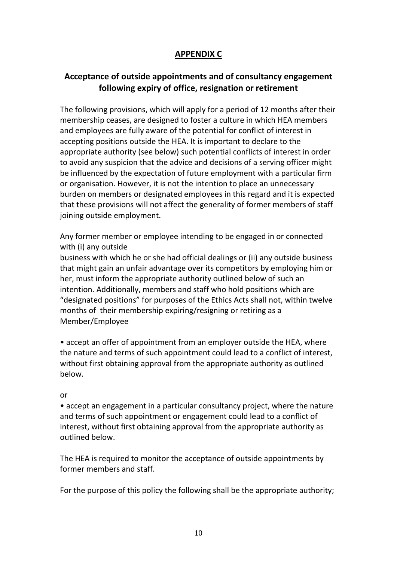# **APPENDIX C**

# **Acceptance of outside appointments and of consultancy engagement following expiry of office, resignation or retirement**

The following provisions, which will apply for a period of 12 months after their membership ceases, are designed to foster a culture in which HEA members and employees are fully aware of the potential for conflict of interest in accepting positions outside the HEA. It is important to declare to the appropriate authority (see below) such potential conflicts of interest in order to avoid any suspicion that the advice and decisions of a serving officer might be influenced by the expectation of future employment with a particular firm or organisation. However, it is not the intention to place an unnecessary burden on members or designated employees in this regard and it is expected that these provisions will not affect the generality of former members of staff joining outside employment.

Any former member or employee intending to be engaged in or connected with (i) any outside

business with which he or she had official dealings or (ii) any outside business that might gain an unfair advantage over its competitors by employing him or her, must inform the appropriate authority outlined below of such an intention. Additionally, members and staff who hold positions which are "designated positions" for purposes of the Ethics Acts shall not, within twelve months of their membership expiring/resigning or retiring as a Member/Employee

• accept an offer of appointment from an employer outside the HEA, where the nature and terms of such appointment could lead to a conflict of interest, without first obtaining approval from the appropriate authority as outlined below.

#### or

• accept an engagement in a particular consultancy project, where the nature and terms of such appointment or engagement could lead to a conflict of interest, without first obtaining approval from the appropriate authority as outlined below.

The HEA is required to monitor the acceptance of outside appointments by former members and staff.

For the purpose of this policy the following shall be the appropriate authority;